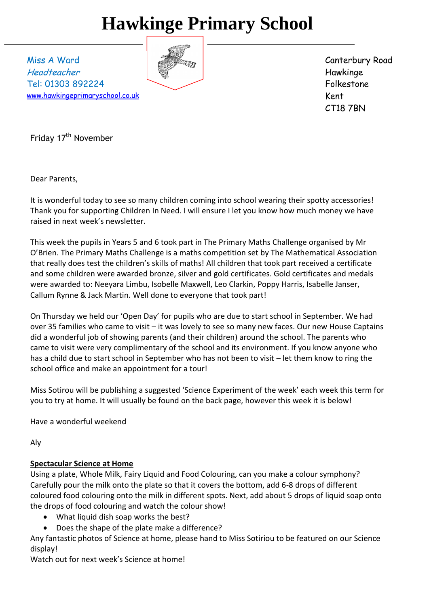# **Hawkinge Primary School**

Miss A Ward Headteacher Tel: 01303 892224 [www.hawkingeprimaryschool.co.uk](http://www.hawkingeprimaryschool.co.uk/)



Canterbury Road Hawkinge Folkestone Kent CT18 7BN

Friday 17<sup>th</sup> November

Dear Parents,

It is wonderful today to see so many children coming into school wearing their spotty accessories! Thank you for supporting Children In Need. I will ensure I let you know how much money we have raised in next week's newsletter.

This week the pupils in Years 5 and 6 took part in The Primary Maths Challenge organised by Mr O'Brien. The Primary Maths Challenge is a maths competition set by The Mathematical Association that really does test the children's skills of maths! All children that took part received a certificate and some children were awarded bronze, silver and gold certificates. Gold certificates and medals were awarded to: Neeyara Limbu, Isobelle Maxwell, Leo Clarkin, Poppy Harris, Isabelle Janser, Callum Rynne & Jack Martin. Well done to everyone that took part!

On Thursday we held our 'Open Day' for pupils who are due to start school in September. We had over 35 families who came to visit – it was lovely to see so many new faces. Our new House Captains did a wonderful job of showing parents (and their children) around the school. The parents who came to visit were very complimentary of the school and its environment. If you know anyone who has a child due to start school in September who has not been to visit – let them know to ring the school office and make an appointment for a tour!

Miss Sotirou will be publishing a suggested 'Science Experiment of the week' each week this term for you to try at home. It will usually be found on the back page, however this week it is below!

Have a wonderful weekend

Aly

# **Spectacular Science at Home**

Using a plate, Whole Milk, Fairy Liquid and Food Colouring, can you make a colour symphony? Carefully pour the milk onto the plate so that it covers the bottom, add 6-8 drops of different coloured food colouring onto the milk in different spots. Next, add about 5 drops of liquid soap onto the drops of food colouring and watch the colour show!

- What liquid dish soap works the best?
- Does the shape of the plate make a difference?

Any fantastic photos of Science at home, please hand to Miss Sotiriou to be featured on our Science display!

Watch out for next week's Science at home!